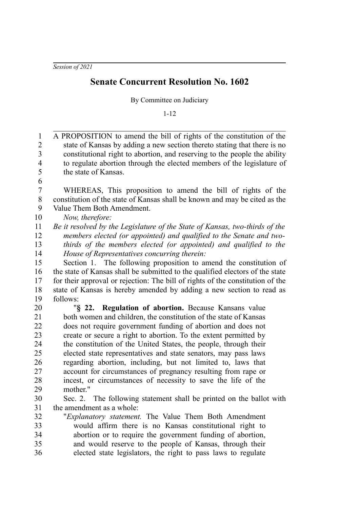*Session of 2021*

## **Senate Concurrent Resolution No. 1602**

By Committee on Judiciary

1-12

| $\mathbf{1}$            | A PROPOSITION to amend the bill of rights of the constitution of the           |
|-------------------------|--------------------------------------------------------------------------------|
| $\boldsymbol{2}$        | state of Kansas by adding a new section thereto stating that there is no       |
| 3                       | constitutional right to abortion, and reserving to the people the ability      |
| $\overline{\mathbf{4}}$ | to regulate abortion through the elected members of the legislature of         |
| 5                       | the state of Kansas.                                                           |
| 6                       |                                                                                |
| $\boldsymbol{7}$        | WHEREAS, This proposition to amend the bill of rights of the                   |
| $\,$ $\,$               | constitution of the state of Kansas shall be known and may be cited as the     |
| 9                       | Value Them Both Amendment.                                                     |
| 10                      | Now, therefore:                                                                |
| 11                      | Be it resolved by the Legislature of the State of Kansas, two-thirds of the    |
| 12                      | members elected (or appointed) and qualified to the Senate and two-            |
| 13                      | thirds of the members elected (or appointed) and qualified to the              |
| 14                      | House of Representatives concurring therein:                                   |
| 15                      | Section 1. The following proposition to amend the constitution of              |
| 16                      | the state of Kansas shall be submitted to the qualified electors of the state  |
| 17                      | for their approval or rejection: The bill of rights of the constitution of the |
| 18                      | state of Kansas is hereby amended by adding a new section to read as           |
| 19                      | follows:                                                                       |
| 20                      | "§ 22. Regulation of abortion. Because Kansans value                           |
| 21                      | both women and children, the constitution of the state of Kansas               |
| 22                      | does not require government funding of abortion and does not                   |
| 23                      | create or secure a right to abortion. To the extent permitted by               |
| 24                      | the constitution of the United States, the people, through their               |
| 25                      | elected state representatives and state senators, may pass laws                |
| 26                      | regarding abortion, including, but not limited to, laws that                   |
| 27                      | account for circumstances of pregnancy resulting from rape or                  |
| 28                      | incest, or circumstances of necessity to save the life of the                  |
| 29                      | mother."                                                                       |
| 30                      | Sec. 2. The following statement shall be printed on the ballot with            |
| 31                      | the amendment as a whole:                                                      |
| 32                      | "Explanatory statement. The Value Them Both Amendment                          |
| 33                      | would affirm there is no Kansas constitutional right to                        |
| 34                      | abortion or to require the government funding of abortion,                     |
| 35                      | and would reserve to the people of Kansas, through their                       |
| 36                      | elected state legislators, the right to pass laws to regulate                  |